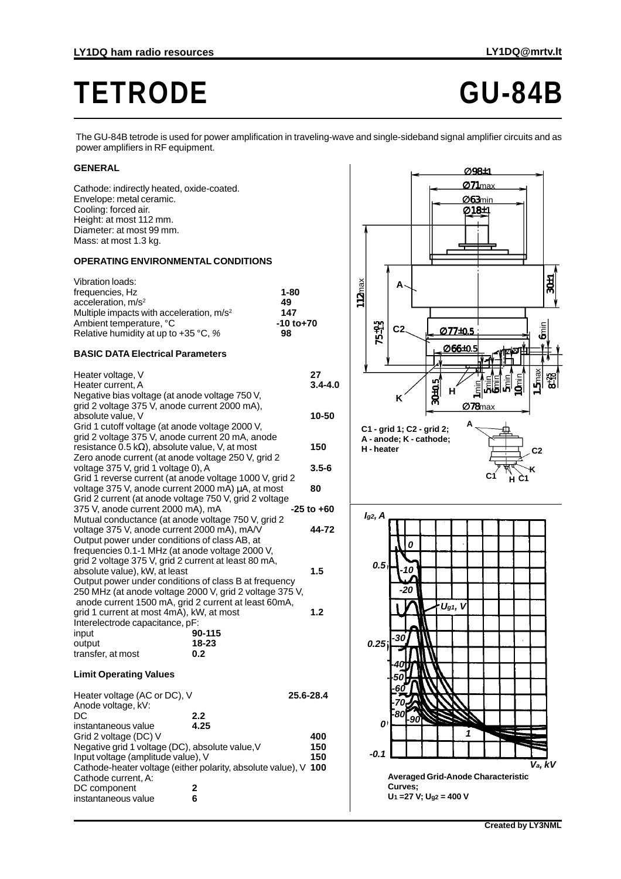# **TETRODE GU-84B**

The GU-84B tetrode is used for power amplification in traveling-wave and single-sideband signal amplifier circuits and as power amplifiers in RF equipment.

# **GENERAL**

Cathode: indirectly heated, oxide-coated. Envelope: metal ceramic. Cooling: forced air. Height: at most 112 mm. Diameter: at most 99 mm. Mass: at most 1.3 kg.

## **OPERATING ENVIRONMENTAL CONDITIONS**

| Vibration loads:                           |                |
|--------------------------------------------|----------------|
| frequencies, Hz                            | $1 - 80$       |
| acceleration, $m/s2$                       | 49             |
| Multiple impacts with acceleration, $m/s2$ | 147            |
| Ambient temperature, °C                    | $-10$ to $+70$ |
| Relative humidity at up to $+35$ °C, %     | 98             |

## **BASIC DATA Electrical Parameters**

| Heater voltage, V<br>Heater current, A<br>Negative bias voltage (at anode voltage 750 V,                                                                                                                                                                          |                  |           | 27<br>$3.4 - 4.0$ |
|-------------------------------------------------------------------------------------------------------------------------------------------------------------------------------------------------------------------------------------------------------------------|------------------|-----------|-------------------|
| grid 2 voltage 375 V, anode current 2000 mA),<br>absolute value, V<br>Grid 1 cutoff voltage (at anode voltage 2000 V,                                                                                                                                             |                  |           | 10-50             |
| grid 2 voltage 375 V, anode current 20 mA, anode<br>resistance $0.5 k\Omega$ ), absolute value, V, at most<br>Zero anode current (at anode voltage 250 V, grid 2                                                                                                  |                  |           | 150               |
| voltage 375 V, grid 1 voltage 0), A<br>Grid 1 reverse current (at anode voltage 1000 V, grid 2                                                                                                                                                                    |                  |           | 3.5-6             |
| voltage 375 V, anode current 2000 mA) µA, at most<br>Grid 2 current (at anode voltage 750 V, grid 2 voltage                                                                                                                                                       |                  |           | 80                |
| 375 V, anode current 2000 mA), mA<br>Mutual conductance (at anode voltage 750 V, grid 2                                                                                                                                                                           |                  |           | $-25$ to $+60$    |
| voltage 375 V, anode current 2000 mA), mA/V<br>Output power under conditions of class AB, at<br>frequencies 0.1-1 MHz (at anode voltage 2000 V,                                                                                                                   |                  |           | 44-72             |
| grid 2 voltage 375 V, grid 2 current at least 80 mA,<br>absolute value), kW, at least<br>Output power under conditions of class B at frequency<br>250 MHz (at anode voltage 2000 V, grid 2 voltage 375 V,<br>anode current 1500 mA, grid 2 current at least 60mA, |                  |           | 1.5               |
| grid 1 current at most 4mA), kW, at most<br>Interelectrode capacitance, pF:                                                                                                                                                                                       |                  |           | 1.2               |
| input                                                                                                                                                                                                                                                             | 90-115           |           |                   |
| output<br>transfer, at most                                                                                                                                                                                                                                       | $18 - 23$<br>0.2 |           |                   |
| <b>Limit Operating Values</b>                                                                                                                                                                                                                                     |                  |           |                   |
| Heater voltage (AC or DC), V<br>Anode voltage, kV:                                                                                                                                                                                                                |                  | 25.6-28.4 |                   |
| DC<br>instantaneous value                                                                                                                                                                                                                                         | 2.2<br>4.25      |           |                   |
| Grid 2 voltage (DC) V                                                                                                                                                                                                                                             |                  |           | 400               |
| Negative grid 1 voltage (DC), absolute value, V                                                                                                                                                                                                                   |                  |           | 150               |
| Input voltage (amplitude value), V                                                                                                                                                                                                                                |                  |           | 150               |
| Cathode-heater voltage (either polarity, absolute value), V<br>Cathode current, A:                                                                                                                                                                                |                  |           | 100               |
| DC component                                                                                                                                                                                                                                                      | 2                |           |                   |
| instantaneous value                                                                                                                                                                                                                                               | 6                |           |                   |